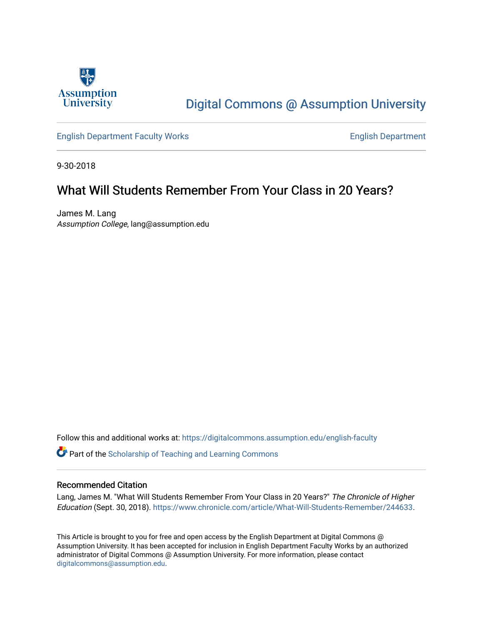

## [Digital Commons @ Assumption University](https://digitalcommons.assumption.edu/)

[English Department Faculty Works](https://digitalcommons.assumption.edu/english-faculty) **English Department** 

9-30-2018

#### What Will Students Remember From Your Class in 20 Years?

James M. Lang Assumption College, lang@assumption.edu

Follow this and additional works at: [https://digitalcommons.assumption.edu/english-faculty](https://digitalcommons.assumption.edu/english-faculty?utm_source=digitalcommons.assumption.edu%2Fenglish-faculty%2F43&utm_medium=PDF&utm_campaign=PDFCoverPages) 

**P** Part of the Scholarship of Teaching and Learning Commons

#### Recommended Citation

Lang, James M. "What Will Students Remember From Your Class in 20 Years?" The Chronicle of Higher Education (Sept. 30, 2018). [https://www.chronicle.com/article/What-Will-Students-Remember/244633.](https://www.chronicle.com/article/What-Will-Students-Remember/244633)

This Article is brought to you for free and open access by the English Department at Digital Commons @ Assumption University. It has been accepted for inclusion in English Department Faculty Works by an authorized administrator of Digital Commons @ Assumption University. For more information, please contact [digitalcommons@assumption.edu](mailto:digitalcommons@assumption.edu).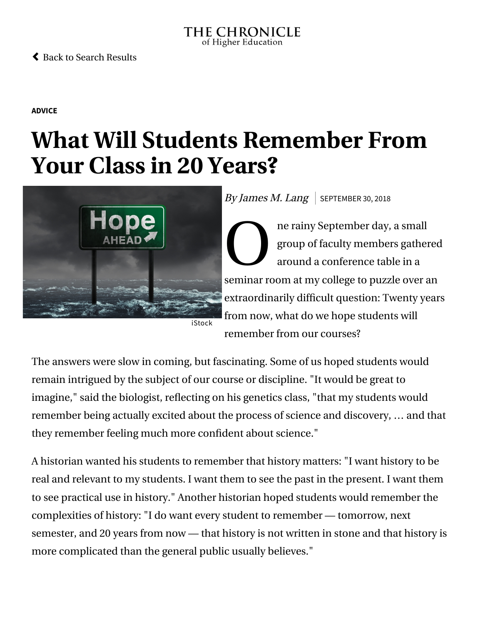#### THE CHRONICLE of Higher Education

#### [Back to Search Results](https://www.chronicle.com/search?q=james+m+lang)

**[ADVICE](https://www.chronicle.com/section/Advice/66)**

# **What Will Students Remember From Your Class in 20 Years?**



By James M. Lang | SEPTEMBER 30, 2018

O are ne rainy September day, a small group of faculty members gathered around a conference table in a seminar room at my college to puzzle over an extraordinarily difficult question: Twenty years from now, what do we hope students will remember from our courses?

The answers were slow in coming, but fascinating. Some of us hoped students would remain intrigued by the subject of our course or discipline. "It would be great to imagine," said the biologist, reflecting on his genetics class, "that my students would remember being actually excited about the process of science and discovery, … and that they remember feeling much more confident about science."

A historian wanted his students to remember that history matters: "I want history to be real and relevant to my students. I want them to see the past in the present. I want them to see practical use in history." Another historian hoped students would remember the complexities of history: "I do want every student to remember — tomorrow, next semester, and 20 years from now — that history is not written in stone and that history is more complicated than the general public usually believes."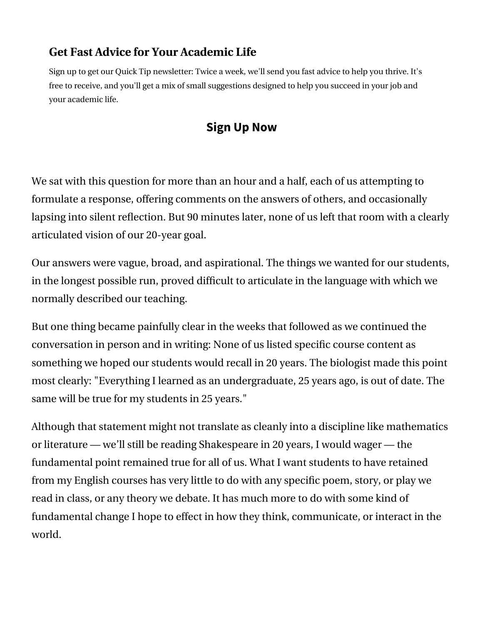## **Get Fast Advice for Your Academic Life**

Sign up to get our Quick Tip newsletter: Twice a week, we'll send you fast advice to help you thrive. It's free to receive, and you'll get a mix of small suggestions designed to help you succeed in your job and your academic life.

## **Sign Up Now**

We sat with this question for more than an hour and a half, each of us attempting to formulate a response, offering comments on the answers of others, and occasionally lapsing into silent reflection. But 90 minutes later, none of us left that room with a clearly articulated vision of our 20-year goal.

Our answers were vague, broad, and aspirational. The things we wanted for our students, in the longest possible run, proved difficult to articulate in the language with which we normally described our teaching.

But one thing became painfully clear in the weeks that followed as we continued the conversation in person and in writing: None of us listed specific course content as something we hoped our students would recall in 20 years. The biologist made this point most clearly: "Everything I learned as an undergraduate, 25 years ago, is out of date. The same will be true for my students in 25 years."

Although that statement might not translate as cleanly into a discipline like mathematics or literature — we'll still be reading Shakespeare in 20 years, I would wager — the fundamental point remained true for all of us. What I want students to have retained from my English courses has very little to do with any specific poem, story, or play we read in class, or any theory we debate. It has much more to do with some kind of fundamental change I hope to effect in how they think, communicate, or interact in the world.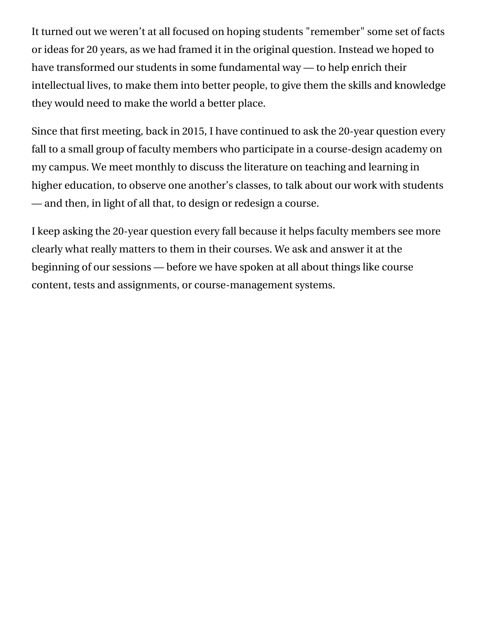It turned out we weren't at all focused on hoping students "remember" some set of facts or ideas for 20 years, as we had framed it in the original question. Instead we hoped to have transformed our students in some fundamental way — to help enrich their intellectual lives, to make them into better people, to give them the skills and knowledge they would need to make the world a better place.

Since that first meeting, back in 2015, I have continued to ask the 20-year question every fall to a small group of faculty members who participate in a course-design academy on my campus. We meet monthly to discuss the literature on teaching and learning in higher education, to observe one another's classes, to talk about our work with students — and then, in light of all that, to design or redesign a course.

I keep asking the 20-year question every fall because it helps faculty members see more clearly what really matters to them in their courses. We ask and answer it at the beginning of our sessions — before we have spoken at all about things like course content, tests and assignments, or course-management systems.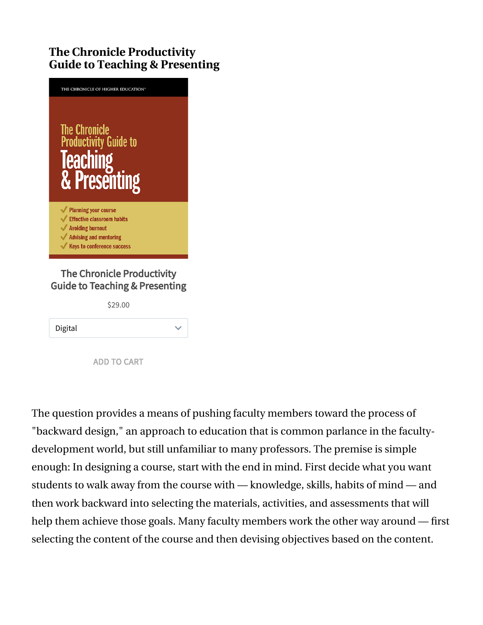## **The Chronicle Productivity Guide to Teaching & Presenting**



#### The Chronicle Productivity Guide to Teaching & Presenting

\$29.00

| Digital |  |
|---------|--|
|---------|--|

ADD TO CART

The question provides a means of pushing faculty members toward the process of ["backward design,](https://www.chronicle.com/blogs/profhacker/planning-a-class-with-backward-design/33625)" an approach to education that is [common parlance](https://www.chronicle.com/article/Will-Students-Actually-Believe/244440) in the facultydevelopment world, but still unfamiliar to many professors. The premise is simple enough: In designing a course, start with the end in mind. First decide what you want students to walk away from the course with — knowledge, skills, habits of mind — and then work backward into selecting the materials, activities, and assessments that will help them achieve those goals. Many faculty members work the other way around — first selecting the content of the course and then devising objectives based on the content.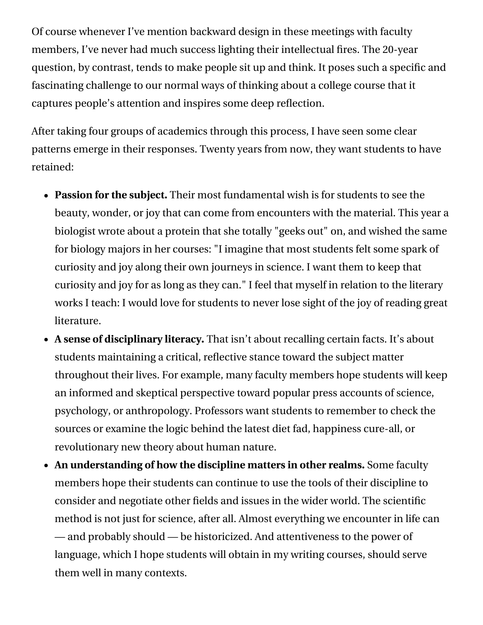Of course whenever I've mention backward design in these meetings with faculty members, I've never had much success lighting their intellectual fires. The 20-year question, by contrast, tends to make people sit up and think. It poses such a specific and fascinating challenge to our normal ways of thinking about a college course that it captures people's attention and inspires some deep reflection.

After taking four groups of academics through this process, I have seen some clear patterns emerge in their responses. Twenty years from now, they want students to have retained:

- **Passion for the subject.** Their most fundamental wish is for students to see the beauty, wonder, or joy that can come from encounters with the material. This year a biologist wrote about a protein that she totally "geeks out" on, and wished the same for biology majors in her courses: "I imagine that most students felt some spark of curiosity and joy along their own journeys in science. I want them to keep that curiosity and joy for as long as they can." I feel that myself in relation to the literary works I teach: I would love for students to never lose sight of the joy of reading great literature.
- **A sense of disciplinary literacy.** That isn't about recalling certain facts. It's about students maintaining a critical, reflective stance toward the subject matter throughout their lives. For example, many faculty members hope students will keep an informed and skeptical perspective toward popular press accounts of science, psychology, or anthropology. Professors want students to remember to check the sources or examine the logic behind the latest diet fad, happiness cure-all, or revolutionary new theory about human nature.
- **An understanding of how the discipline matters in other realms.** Some faculty members hope their students can continue to use the tools of their discipline to consider and negotiate other fields and issues in the wider world. The scientific method is not just for science, after all. Almost everything we encounter in life can — and probably should — be historicized. And attentiveness to the power of language, which I hope students will obtain in my writing courses, should serve them well in many contexts.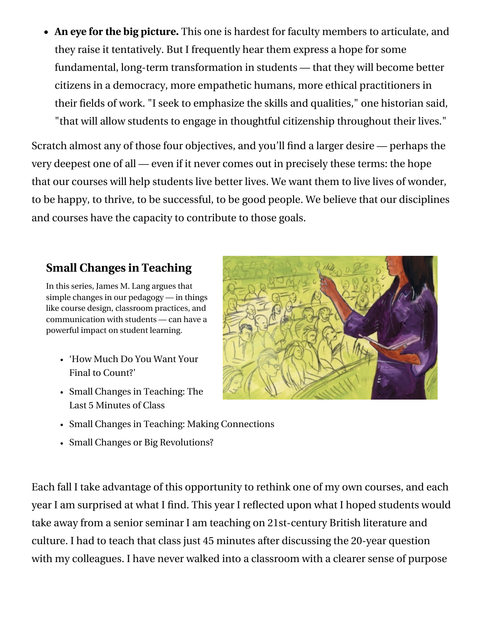**An eye for the big picture.** This one is hardest for faculty members to articulate, and they raise it tentatively. But I frequently hear them express a hope for some fundamental, long-term transformation in students — that they will become better citizens in a democracy, more empathetic humans, more ethical practitioners in their fields of work. "I seek to emphasize the skills and qualities," one historian said, "that will allow students to engage in thoughtful citizenship throughout their lives."

Scratch almost any of those four objectives, and you'll find a larger desire — perhaps the very deepest one of all — even if it never comes out in precisely these terms: the hope that our courses will help students live better lives. We want them to live lives of wonder, to be happy, to thrive, to be successful, to be good people. We believe that our disciplines and courses have the capacity to contribute to those goals.

## **[Small Changes in Teaching](https://www.chronicle.com/specialreport/Small-Changes-in-Teaching/44?cid=RCPACKAGE)**

In this series, James M. Lang argues that simple changes in our pedagogy — in things like course design, classroom practices, and communication with students — can have a powerful impact on student learning.

- ['How Much Do You Want Your](https://www.chronicle.com/article/How-Much-Do-You-Want-Your/242802?cid=RCPACKAGE) Final to Count?'
- [Small Changes in Teaching: The](https://www.chronicle.com/article/Small-Changes-in-Teaching-The/235583?cid=RCPACKAGE) Last 5 Minutes of Class
- 
- [Small Changes in Teaching: Making Connections](https://www.chronicle.com/article/Small-Changes-in-Teaching-/235230?cid=RCPACKAGE)
- [Small Changes or Big Revolutions?](https://www.chronicle.com/article/Small-Changes-or-Big/236839?cid=RCPACKAGE)

Each fall I take advantage of this opportunity to rethink one of my own courses, and each year I am surprised at what I find. This year I reflected upon what I hoped students would take away from a senior seminar I am teaching on 21st-century British literature and culture. I had to teach that class just 45 minutes after discussing the 20-year question with my colleagues. I have never walked into a classroom with a clearer sense of purpose